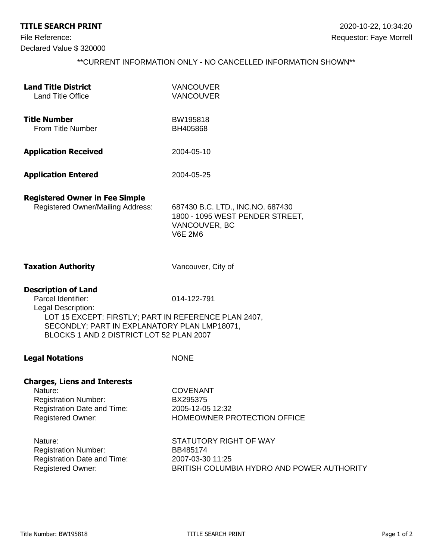## **TITLE SEARCH PRINT** 2020-10-22, 10:34:20

Declared Value \$ 320000

## \*\*CURRENT INFORMATION ONLY - NO CANCELLED INFORMATION SHOWN\*\*

| <b>Land Title District</b>                                                                                                                       | <b>VANCOUVER</b>                                                    |
|--------------------------------------------------------------------------------------------------------------------------------------------------|---------------------------------------------------------------------|
| <b>Land Title Office</b>                                                                                                                         | <b>VANCOUVER</b>                                                    |
| <b>Title Number</b>                                                                                                                              | BW195818                                                            |
| From Title Number                                                                                                                                | BH405868                                                            |
| <b>Application Received</b>                                                                                                                      | 2004-05-10                                                          |
| <b>Application Entered</b>                                                                                                                       | 2004-05-25                                                          |
| <b>Registered Owner in Fee Simple</b><br><b>Registered Owner/Mailing Address:</b>                                                                | 687430 B.C. LTD., INC.NO. 687430<br>1800 - 1095 WEST PENDER STREET, |
|                                                                                                                                                  | VANCOUVER, BC<br><b>V6E 2M6</b>                                     |
| <b>Taxation Authority</b>                                                                                                                        | Vancouver, City of                                                  |
| <b>Description of Land</b>                                                                                                                       |                                                                     |
| Parcel Identifier:<br>Legal Description:                                                                                                         | 014-122-791                                                         |
| LOT 15 EXCEPT: FIRSTLY; PART IN REFERENCE PLAN 2407,<br>SECONDLY; PART IN EXPLANATORY PLAN LMP18071,<br>BLOCKS 1 AND 2 DISTRICT LOT 52 PLAN 2007 |                                                                     |
| <b>Legal Notations</b>                                                                                                                           | <b>NONE</b>                                                         |
| <b>Charges, Liens and Interests</b>                                                                                                              |                                                                     |
| Nature:                                                                                                                                          | <b>COVENANT</b>                                                     |
| <b>Registration Number:</b>                                                                                                                      | BX295375                                                            |
| Registration Date and Time:                                                                                                                      | 2005-12-05 12:32                                                    |
| <b>Registered Owner:</b>                                                                                                                         | HOMEOWNER PROTECTION OFFICE                                         |
| Nature:                                                                                                                                          | STATUTORY RIGHT OF WAY                                              |
| <b>Registration Number:</b>                                                                                                                      | BB485174                                                            |
| Registration Date and Time:                                                                                                                      | 2007-03-30 11:25                                                    |
| <b>Registered Owner:</b>                                                                                                                         | BRITISH COLUMBIA HYDRO AND POWER AUTHORITY                          |